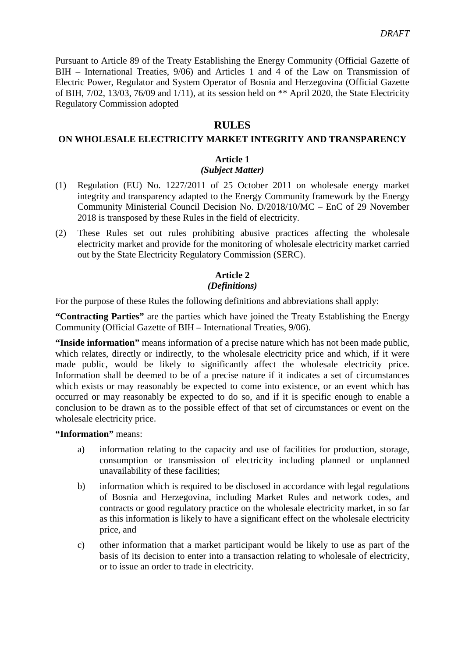Pursuant to Article 89 of the Treaty Establishing the Energy Community (Official Gazette of BIH – International Treaties, 9/06) and Articles 1 and 4 of the Law on Transmission of Electric Power, Regulator and System Operator of Bosnia and Herzegovina (Official Gazette of BIH, 7/02, 13/03, 76/09 and 1/11), at its session held on \*\* April 2020, the State Electricity Regulatory Commission adopted

## **RULES**

#### **ON WHOLESALE ELECTRICITY MARKET INTEGRITY AND TRANSPARENCY**

#### **Article 1**

#### *(Subject Matter)*

- (1) Regulation (EU) No. 1227/2011 of 25 October 2011 on wholesale energy market integrity and transparency adapted to the Energy Community framework by the Energy Community Ministerial Council Decision No. D/2018/10/MC – EnC of 29 November 2018 is transposed by these Rules in the field of electricity.
- (2) These Rules set out rules prohibiting abusive practices affecting the wholesale electricity market and provide for the monitoring of wholesale electricity market carried out by the State Electricity Regulatory Commission (SERC).

#### **Article 2** *(Definitions)*

For the purpose of these Rules the following definitions and abbreviations shall apply:

**"Contracting Parties"** are the parties which have joined the Treaty Establishing the Energy Community (Official Gazette of BIH – International Treaties, 9/06).

**"Inside information"** means information of a precise nature which has not been made public, which relates, directly or indirectly, to the wholesale electricity price and which, if it were made public, would be likely to significantly affect the wholesale electricity price. Information shall be deemed to be of a precise nature if it indicates a set of circumstances which exists or may reasonably be expected to come into existence, or an event which has occurred or may reasonably be expected to do so, and if it is specific enough to enable a conclusion to be drawn as to the possible effect of that set of circumstances or event on the wholesale electricity price.

#### **"Information"** means:

- a) information relating to the capacity and use of facilities for production, storage, consumption or transmission of electricity including planned or unplanned unavailability of these facilities;
- b) information which is required to be disclosed in accordance with legal regulations of Bosnia and Herzegovina, including Market Rules and network codes, and contracts or good regulatory practice on the wholesale electricity market, in so far as this information is likely to have a significant effect on the wholesale electricity price, and
- c) other information that a market participant would be likely to use as part of the basis of its decision to enter into a transaction relating to wholesale of electricity, or to issue an order to trade in electricity.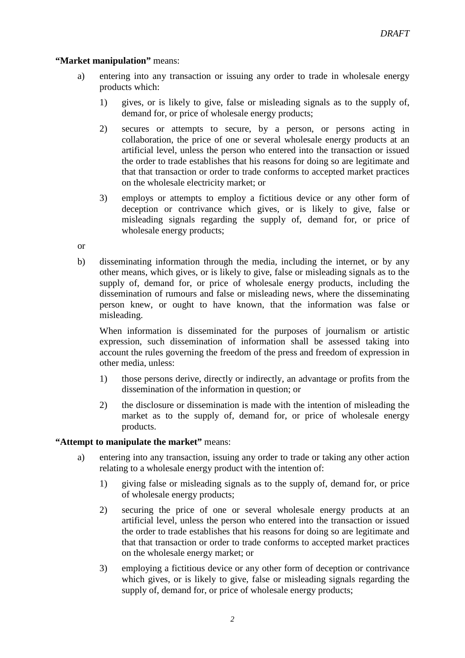## **"Market manipulation"** means:

- a) entering into any transaction or issuing any order to trade in wholesale energy products which:
	- 1) gives, or is likely to give, false or misleading signals as to the supply of, demand for, or price of wholesale energy products;
	- 2) secures or attempts to secure, by a person, or persons acting in collaboration, the price of one or several wholesale energy products at an artificial level, unless the person who entered into the transaction or issued the order to trade establishes that his reasons for doing so are legitimate and that that transaction or order to trade conforms to accepted market practices on the wholesale electricity market; or
	- 3) employs or attempts to employ a fictitious device or any other form of deception or contrivance which gives, or is likely to give, false or misleading signals regarding the supply of, demand for, or price of wholesale energy products;
- or
- b) disseminating information through the media, including the internet, or by any other means, which gives, or is likely to give, false or misleading signals as to the supply of, demand for, or price of wholesale energy products, including the dissemination of rumours and false or misleading news, where the disseminating person knew, or ought to have known, that the information was false or misleading.

When information is disseminated for the purposes of journalism or artistic expression, such dissemination of information shall be assessed taking into account the rules governing the freedom of the press and freedom of expression in other media, unless:

- 1) those persons derive, directly or indirectly, an advantage or profits from the dissemination of the information in question; or
- 2) the disclosure or dissemination is made with the intention of misleading the market as to the supply of, demand for, or price of wholesale energy products.

## **"Attempt to manipulate the market"** means:

- a) entering into any transaction, issuing any order to trade or taking any other action relating to a wholesale energy product with the intention of:
	- 1) giving false or misleading signals as to the supply of, demand for, or price of wholesale energy products;
	- 2) securing the price of one or several wholesale energy products at an artificial level, unless the person who entered into the transaction or issued the order to trade establishes that his reasons for doing so are legitimate and that that transaction or order to trade conforms to accepted market practices on the wholesale energy market; or
	- 3) employing a fictitious device or any other form of deception or contrivance which gives, or is likely to give, false or misleading signals regarding the supply of, demand for, or price of wholesale energy products;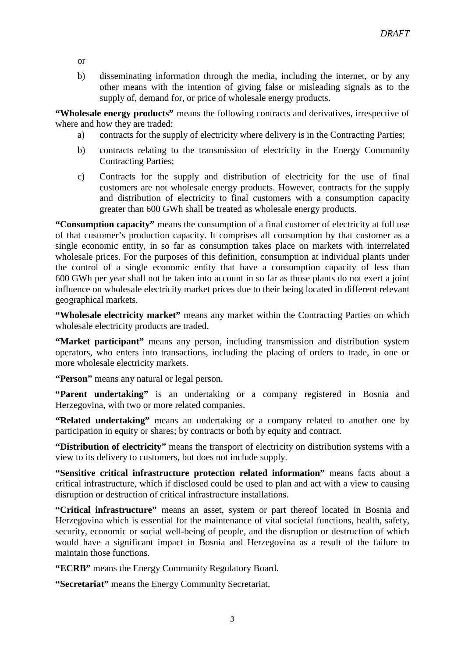or

b) disseminating information through the media, including the internet, or by any other means with the intention of giving false or misleading signals as to the supply of, demand for, or price of wholesale energy products.

**"Wholesale energy products"** means the following contracts and derivatives, irrespective of where and how they are traded:

- a) contracts for the supply of electricity where delivery is in the Contracting Parties;
- b) contracts relating to the transmission of electricity in the Energy Community Contracting Parties;
- c) Contracts for the supply and distribution of electricity for the use of final customers are not wholesale energy products. However, contracts for the supply and distribution of electricity to final customers with a consumption capacity greater than 600 GWh shall be treated as wholesale energy products.

**"Consumption capacity"** means the consumption of a final customer of electricity at full use of that customer's production capacity. It comprises all consumption by that customer as a single economic entity, in so far as consumption takes place on markets with interrelated wholesale prices. For the purposes of this definition, consumption at individual plants under the control of a single economic entity that have a consumption capacity of less than 600 GWh per year shall not be taken into account in so far as those plants do not exert a joint influence on wholesale electricity market prices due to their being located in different relevant geographical markets.

**"Wholesale electricity market"** means any market within the Contracting Parties on which wholesale electricity products are traded.

**"Market participant"** means any person, including transmission and distribution system operators, who enters into transactions, including the placing of orders to trade, in one or more wholesale electricity markets.

**"Person"** means any natural or legal person.

**"Parent undertaking"** is an undertaking or a company registered in Bosnia and Herzegovina, with two or more related companies.

**"Related undertaking"** means an undertaking or a company related to another one by participation in equity or shares; by contracts or both by equity and contract.

**"Distribution of electricity"** means the transport of electricity on distribution systems with a view to its delivery to customers, but does not include supply.

**"Sensitive critical infrastructure protection related information"** means facts about a critical infrastructure, which if disclosed could be used to plan and act with a view to causing disruption or destruction of critical infrastructure installations.

**"Critical infrastructure"** means an asset, system or part thereof located in Bosnia and Herzegovina which is essential for the maintenance of vital societal functions, health, safety, security, economic or social well-being of people, and the disruption or destruction of which would have a significant impact in Bosnia and Herzegovina as a result of the failure to maintain those functions.

**"ECRB"** means the Energy Community Regulatory Board.

**"Secretariat"** means the Energy Community Secretariat.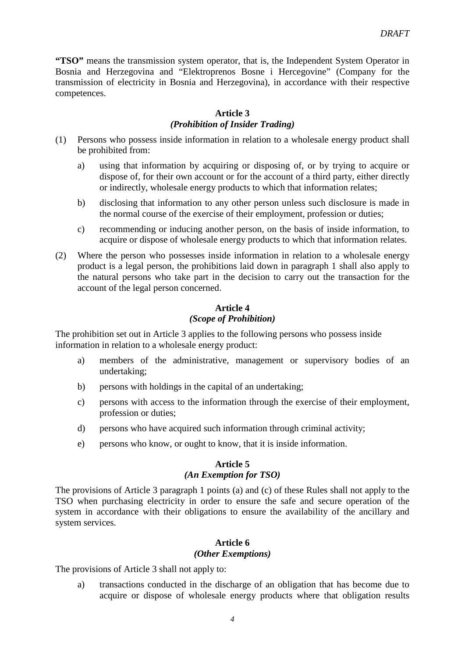**"TSO"** means the transmission system operator, that is, the Independent System Operator in Bosnia and Herzegovina and "Elektroprenos Bosne i Hercegovine" (Company for the transmission of electricity in Bosnia and Herzegovina), in accordance with their respective competences.

## **Article 3**

## *(Prohibition of Insider Trading)*

- (1) Persons who possess inside information in relation to a wholesale energy product shall be prohibited from:
	- a) using that information by acquiring or disposing of, or by trying to acquire or dispose of, for their own account or for the account of a third party, either directly or indirectly, wholesale energy products to which that information relates;
	- b) disclosing that information to any other person unless such disclosure is made in the normal course of the exercise of their employment, profession or duties;
	- c) recommending or inducing another person, on the basis of inside information, to acquire or dispose of wholesale energy products to which that information relates.
- (2) Where the person who possesses inside information in relation to a wholesale energy product is a legal person, the prohibitions laid down in paragraph 1 shall also apply to the natural persons who take part in the decision to carry out the transaction for the account of the legal person concerned.

## **Article 4**

#### *(Scope of Prohibition)*

The prohibition set out in Article 3 applies to the following persons who possess inside information in relation to a wholesale energy product:

- a) members of the administrative, management or supervisory bodies of an undertaking;
- b) persons with holdings in the capital of an undertaking;
- c) persons with access to the information through the exercise of their employment, profession or duties;
- d) persons who have acquired such information through criminal activity;
- e) persons who know, or ought to know, that it is inside information.

## **Article 5**

#### *(An Exemption for TSO)*

The provisions of Article 3 paragraph 1 points (a) and (c) of these Rules shall not apply to the TSO when purchasing electricity in order to ensure the safe and secure operation of the system in accordance with their obligations to ensure the availability of the ancillary and system services.

#### **Article 6** *(Other Exemptions)*

The provisions of Article 3 shall not apply to:

a) transactions conducted in the discharge of an obligation that has become due to acquire or dispose of wholesale energy products where that obligation results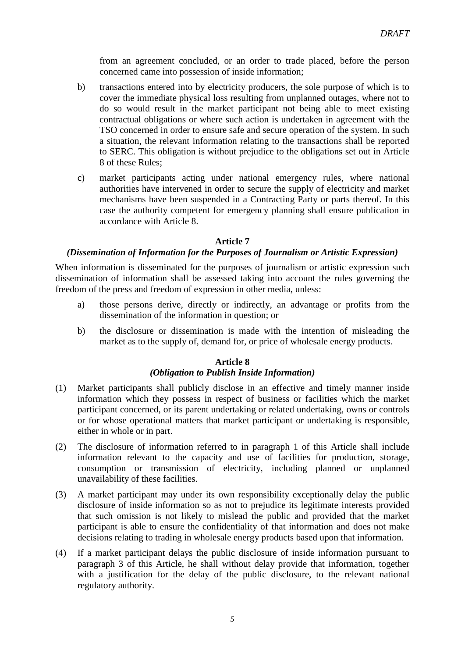from an agreement concluded, or an order to trade placed, before the person concerned came into possession of inside information;

- b) transactions entered into by electricity producers, the sole purpose of which is to cover the immediate physical loss resulting from unplanned outages, where not to do so would result in the market participant not being able to meet existing contractual obligations or where such action is undertaken in agreement with the TSO concerned in order to ensure safe and secure operation of the system. In such a situation, the relevant information relating to the transactions shall be reported to SERC. This obligation is without prejudice to the obligations set out in Article 8 of these Rules;
- c) market participants acting under national emergency rules, where national authorities have intervened in order to secure the supply of electricity and market mechanisms have been suspended in a Contracting Party or parts thereof. In this case the authority competent for emergency planning shall ensure publication in accordance with Article 8.

#### **Article 7**

#### *(Dissemination of Information for the Purposes of Journalism or Artistic Expression)*

When information is disseminated for the purposes of journalism or artistic expression such dissemination of information shall be assessed taking into account the rules governing the freedom of the press and freedom of expression in other media, unless:

- a) those persons derive, directly or indirectly, an advantage or profits from the dissemination of the information in question; or
- b) the disclosure or dissemination is made with the intention of misleading the market as to the supply of, demand for, or price of wholesale energy products.

# **Article 8**

## *(Obligation to Publish Inside Information)*

- (1) Market participants shall publicly disclose in an effective and timely manner inside information which they possess in respect of business or facilities which the market participant concerned, or its parent undertaking or related undertaking, owns or controls or for whose operational matters that market participant or undertaking is responsible, either in whole or in part.
- (2) The disclosure of information referred to in paragraph 1 of this Article shall include information relevant to the capacity and use of facilities for production, storage, consumption or transmission of electricity, including planned or unplanned unavailability of these facilities.
- (3) A market participant may under its own responsibility exceptionally delay the public disclosure of inside information so as not to prejudice its legitimate interests provided that such omission is not likely to mislead the public and provided that the market participant is able to ensure the confidentiality of that information and does not make decisions relating to trading in wholesale energy products based upon that information.
- (4) If a market participant delays the public disclosure of inside information pursuant to paragraph 3 of this Article, he shall without delay provide that information, together with a justification for the delay of the public disclosure, to the relevant national regulatory authority.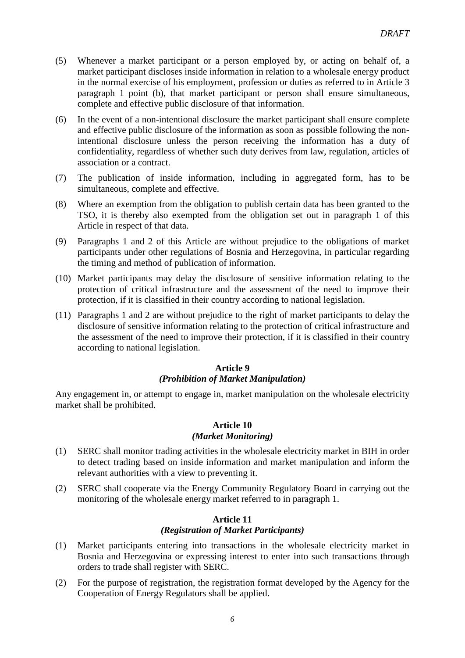- (5) Whenever a market participant or a person employed by, or acting on behalf of, a market participant discloses inside information in relation to a wholesale energy product in the normal exercise of his employment, profession or duties as referred to in Article 3 paragraph 1 point (b), that market participant or person shall ensure simultaneous, complete and effective public disclosure of that information.
- (6) In the event of a non-intentional disclosure the market participant shall ensure complete and effective public disclosure of the information as soon as possible following the nonintentional disclosure unless the person receiving the information has a duty of confidentiality, regardless of whether such duty derives from law, regulation, articles of association or a contract.
- (7) The publication of inside information, including in aggregated form, has to be simultaneous, complete and effective.
- (8) Where an exemption from the obligation to publish certain data has been granted to the TSO, it is thereby also exempted from the obligation set out in paragraph 1 of this Article in respect of that data.
- (9) Paragraphs 1 and 2 of this Article are without prejudice to the obligations of market participants under other regulations of Bosnia and Herzegovina, in particular regarding the timing and method of publication of information.
- (10) Market participants may delay the disclosure of sensitive information relating to the protection of critical infrastructure and the assessment of the need to improve their protection, if it is classified in their country according to national legislation.
- (11) Paragraphs 1 and 2 are without prejudice to the right of market participants to delay the disclosure of sensitive information relating to the protection of critical infrastructure and the assessment of the need to improve their protection, if it is classified in their country according to national legislation.

## *(Prohibition of Market Manipulation)*

Any engagement in, or attempt to engage in, market manipulation on the wholesale electricity market shall be prohibited.

## **Article 10** *(Market Monitoring)*

- (1) SERC shall monitor trading activities in the wholesale electricity market in BIH in order to detect trading based on inside information and market manipulation and inform the relevant authorities with a view to preventing it.
- (2) SERC shall cooperate via the Energy Community Regulatory Board in carrying out the monitoring of the wholesale energy market referred to in paragraph 1.

#### **Article 11** *(Registration of Market Participants)*

- (1) Market participants entering into transactions in the wholesale electricity market in Bosnia and Herzegovina or expressing interest to enter into such transactions through orders to trade shall register with SERC.
- (2) For the purpose of registration, the registration format developed by the Agency for the Cooperation of Energy Regulators shall be applied.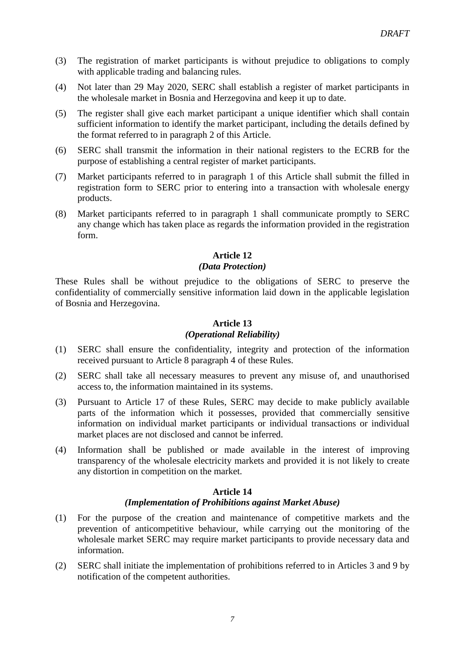- (3) The registration of market participants is without prejudice to obligations to comply with applicable trading and balancing rules.
- (4) Not later than 29 May 2020, SERC shall establish a register of market participants in the wholesale market in Bosnia and Herzegovina and keep it up to date.
- (5) The register shall give each market participant a unique identifier which shall contain sufficient information to identify the market participant, including the details defined by the format referred to in paragraph 2 of this Article.
- (6) SERC shall transmit the information in their national registers to the ECRB for the purpose of establishing a central register of market participants.
- (7) Market participants referred to in paragraph 1 of this Article shall submit the filled in registration form to SERC prior to entering into a transaction with wholesale energy products.
- (8) Market participants referred to in paragraph 1 shall communicate promptly to SERC any change which has taken place as regards the information provided in the registration form.

## *(Data Protection)*

These Rules shall be without prejudice to the obligations of SERC to preserve the confidentiality of commercially sensitive information laid down in the applicable legislation of Bosnia and Herzegovina.

## **Article 13**

## *(Operational Reliability)*

- (1) SERC shall ensure the confidentiality, integrity and protection of the information received pursuant to Article 8 paragraph 4 of these Rules.
- (2) SERC shall take all necessary measures to prevent any misuse of, and unauthorised access to, the information maintained in its systems.
- (3) Pursuant to Article 17 of these Rules, SERC may decide to make publicly available parts of the information which it possesses, provided that commercially sensitive information on individual market participants or individual transactions or individual market places are not disclosed and cannot be inferred.
- (4) Information shall be published or made available in the interest of improving transparency of the wholesale electricity markets and provided it is not likely to create any distortion in competition on the market.

#### **Article 14** *(Implementation of Prohibitions against Market Abuse)*

- (1) For the purpose of the creation and maintenance of competitive markets and the prevention of anticompetitive behaviour, while carrying out the monitoring of the wholesale market SERC may require market participants to provide necessary data and information.
- (2) SERC shall initiate the implementation of prohibitions referred to in Articles 3 and 9 by notification of the competent authorities.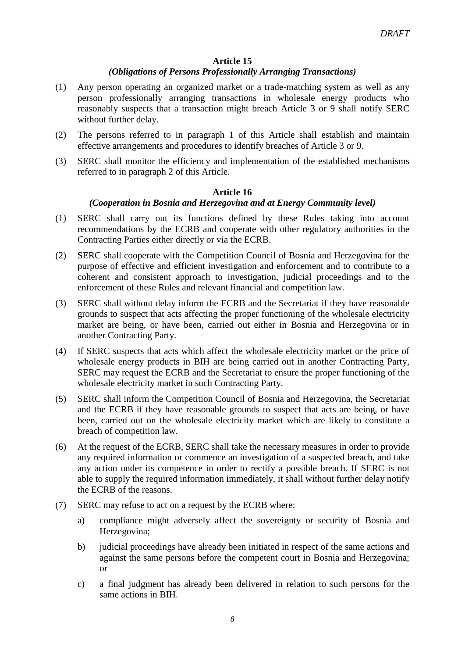## *(Obligations of Persons Professionally Arranging Transactions)*

- (1) Any person operating an organized market or a trade-matching system as well as any person professionally arranging transactions in wholesale energy products who reasonably suspects that a transaction might breach Article 3 or 9 shall notify SERC without further delay.
- (2) The persons referred to in paragraph 1 of this Article shall establish and maintain effective arrangements and procedures to identify breaches of Article 3 or 9.
- (3) SERC shall monitor the efficiency and implementation of the established mechanisms referred to in paragraph 2 of this Article.

## **Article 16**

## *(Cooperation in Bosnia and Herzegovina and at Energy Community level)*

- (1) SERC shall carry out its functions defined by these Rules taking into account recommendations by the ECRB and cooperate with other regulatory authorities in the Contracting Parties either directly or via the ECRB.
- (2) SERC shall cooperate with the Competition Council of Bosnia and Herzegovina for the purpose of effective and efficient investigation and enforcement and to contribute to a coherent and consistent approach to investigation, judicial proceedings and to the enforcement of these Rules and relevant financial and competition law.
- (3) SERC shall without delay inform the ECRB and the Secretariat if they have reasonable grounds to suspect that acts affecting the proper functioning of the wholesale electricity market are being, or have been, carried out either in Bosnia and Herzegovina or in another Contracting Party.
- (4) If SERC suspects that acts which affect the wholesale electricity market or the price of wholesale energy products in BIH are being carried out in another Contracting Party, SERC may request the ECRB and the Secretariat to ensure the proper functioning of the wholesale electricity market in such Contracting Party.
- (5) SERC shall inform the Competition Council of Bosnia and Herzegovina, the Secretariat and the ECRB if they have reasonable grounds to suspect that acts are being, or have been, carried out on the wholesale electricity market which are likely to constitute a breach of competition law.
- (6) At the request of the ECRB, SERC shall take the necessary measures in order to provide any required information or commence an investigation of a suspected breach, and take any action under its competence in order to rectify a possible breach. If SERC is not able to supply the required information immediately, it shall without further delay notify the ECRB of the reasons.
- (7) SERC may refuse to act on a request by the ECRB where:
	- a) compliance might adversely affect the sovereignty or security of Bosnia and Herzegovina;
	- b) judicial proceedings have already been initiated in respect of the same actions and against the same persons before the competent court in Bosnia and Herzegovina; or
	- c) a final judgment has already been delivered in relation to such persons for the same actions in BIH.